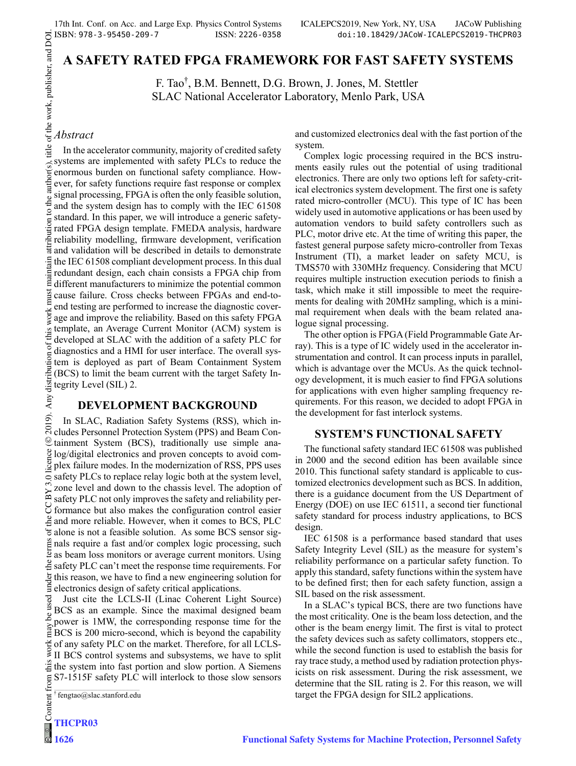# **A SAFETY RATED FPGA FRAMEWORK FOR FAST SAFETY SYSTEMS**

F. Tao† , B.M. Bennett, D.G. Brown, J. Jones, M. Stettler SLAC National Accelerator Laboratory, Menlo Park, USA

Any (

17th Int. Conf. on Acc. and La<br>  $\overrightarrow{C}$  ISBN: 978-3-95450-209-7<br>  $\overrightarrow{A}$ <br>  $\overrightarrow{A}$ <br>  $\overrightarrow{A}$ <br>  $\overrightarrow{A}$ <br>  $\overrightarrow{A}$ <br>  $\overrightarrow{A}$ <br>  $\overrightarrow{B}$ <br>  $\overrightarrow{C}$ <br>  $\overrightarrow{C}$ <br>  $\overrightarrow{C}$ <br>  $\overrightarrow{A}$ <br>  $\overrightarrow{C}$ <br>  $\overrightarrow{A}$ <br>  $\overrightarrow{C}$ <br>  $\overrightarrow{A}$ <br>  $\overrightarrow{$ 2019). Any distribution of this work must maintain attribution to the author(s), title of the work, publisher, and DOI.<br>  $\tau \circ \tau$ In the accelerator community, majority of credited safety systems are implemented with safety PLCs to reduce the enormous burden on functional safety compliance. However, for safety functions require fast response or complex signal processing, FPGA is often the only feasible solution, and the system design has to comply with the IEC 61508 standard. In this paper, we will introduce a generic safetyrated FPGA design template. FMEDA analysis, hardware reliability modelling, firmware development, verification and validation will be described in details to demonstrate the IEC 61508 compliant development process. In this dual Fredundant design, each chain consists a FPGA chip from<br>E different manufacturers to minimize the potential common different manufacturers to minimize the potential common cause failure. Cross checks between FPGAs and end-toend testing are performed to increase the diagnostic coverwork 1 age and improve the reliability. Based on this safety FPGA template, an Average Current Monitor (ACM) system is  $\overline{S}$  $\circ$ f thi developed at SLAC with the addition of a safety PLC for diagnostics and a HMI for user interface. The overall sysdistribution tem is deployed as part of Beam Containment System (BCS) to limit the beam current with the target Safety Integrity Level (SIL) 2.

## **DEVELOPMENT BACKGROUND**

 $\overline{19}$ In SLAC, Radiation Safety Systems (RSS), which in- $\sum_{n=1}^{\infty}$  cludes Personnel Protection System (PPS) and Beam Containment System (BCS), traditionally use simple ana-©Content from this work may be used under the terms of the CC BY 3.0 licence ( $\epsilon$  $\frac{8}{2}$  log/digital electronics and proven concepts to avoid com- $\frac{8}{3}$  plex failure modes. In the modernization of RSS, PPS uses  $\overline{\circ}$  safety PLCs to replace relay logic both at the system level, zone level and down to the chassis level. The adoption of  $\approx$  2010 Tever and down to the safety and reliability performance but also makes the configuration control easier and more reliable. However, when it comes to BCS, PLC alone is not a feasible solution. As some BCS sensor sig- $\tilde{\mathbf{g}}$  nals require a fast and/or complex logic processing, such <sup>2</sup> as beam loss monitors or average current monitors. Using  $\frac{3}{2}$  safety PLC can't meet the response time requirements. For this reason, we have to find a new engineering solution for electronics design of safety critical applications.

Just cite the LCLS-II (Linac Coherent Light Source) BCS as an example. Since the maximal designed beam ತಿ power is 1MW, the corresponding response time for the BCS is 200 micro-second, which is beyond the capability of any safety PLC on the market. Therefore, for all LCLS-II BCS control systems and subsystems, we have to split  $\ddot{\ddot{\mathcal{Z}}}$  the system into fast portion and slow portion. A Siemens S7-1515F safety PLC will interlock to those slow sensors Content from

† fengtao@slac.stanford.edu

**1626**

and customized electronics deal with the fast portion of the system.

Complex logic processing required in the BCS instruments easily rules out the potential of using traditional electronics. There are only two options left for safety-critical electronics system development. The first one is safety rated micro-controller (MCU). This type of IC has been widely used in automotive applications or has been used by automation vendors to build safety controllers such as PLC, motor drive etc. At the time of writing this paper, the fastest general purpose safety micro-controller from Texas Instrument (TI), a market leader on safety MCU, is TMS570 with 330MHz frequency. Considering that MCU requires multiple instruction execution periods to finish a task, which make it still impossible to meet the requirements for dealing with 20MHz sampling, which is a minimal requirement when deals with the beam related analogue signal processing.

The other option is FPGA (Field Programmable Gate Array). This is a type of IC widely used in the accelerator instrumentation and control. It can process inputs in parallel, which is advantage over the MCUs. As the quick technology development, it is much easier to find FPGA solutions for applications with even higher sampling frequency requirements. For this reason, we decided to adopt FPGA in the development for fast interlock systems.

## **SYSTEM'S FUNCTIONAL SAFETY**

The functional safety standard IEC 61508 was published in 2000 and the second edition has been available since 2010. This functional safety standard is applicable to customized electronics development such as BCS. In addition, there is a guidance document from the US Department of Energy (DOE) on use IEC 61511, a second tier functional safety standard for process industry applications, to BCS design.

IEC 61508 is a performance based standard that uses Safety Integrity Level (SIL) as the measure for system's reliability performance on a particular safety function. To apply this standard, safety functions within the system have to be defined first; then for each safety function, assign a SIL based on the risk assessment.

In a SLAC's typical BCS, there are two functions have the most criticality. One is the beam loss detection, and the other is the beam energy limit. The first is vital to protect the safety devices such as safety collimators, stoppers etc., while the second function is used to establish the basis for ray trace study, a method used by radiation protection physicists on risk assessment. During the risk assessment, we determine that the SIL rating is 2. For this reason, we will target the FPGA design for SIL2 applications.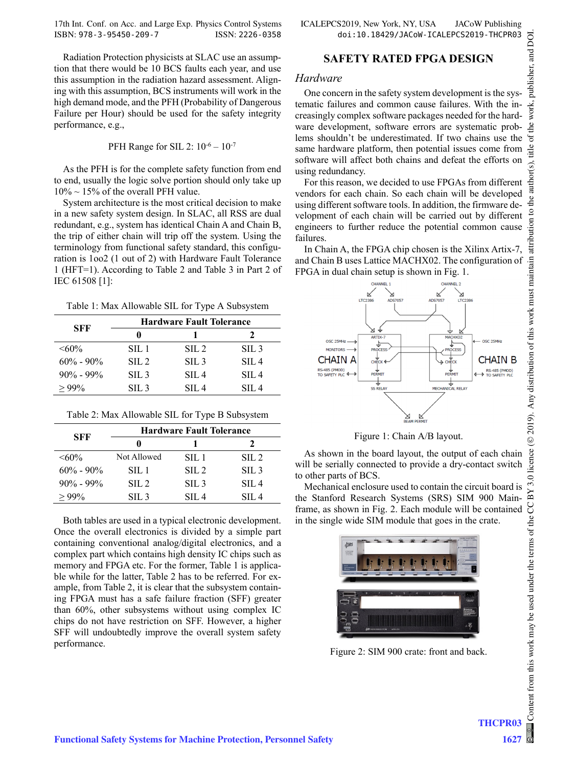17th Int. Conf. on Acc. and Large Exp. Physics Control Systems ICALEPCS2019, New York, NY, USA JACoW Publishing ISBN: 978-3-95450-209-7 ISSN: 2226-0358 doi:10.18429/JACoW-ICALEPCS2019-THCPR03

Radiation Protection physicists at SLAC use an assumption that there would be 10 BCS faults each year, and use this assumption in the radiation hazard assessment. Aligning with this assumption, BCS instruments will work in the high demand mode, and the PFH (Probability of Dangerous Failure per Hour) should be used for the safety integrity performance, e.g.,

### PFH Range for SIL 2:  $10^{-6} - 10^{-7}$

As the PFH is for the complete safety function from end to end, usually the logic solve portion should only take up  $10\% \sim 15\%$  of the overall PFH value.

System architecture is the most critical decision to make in a new safety system design. In SLAC, all RSS are dual redundant, e.g., system has identical Chain A and Chain B, the trip of either chain will trip off the system. Using the terminology from functional safety standard, this configuration is 1oo2 (1 out of 2) with Hardware Fault Tolerance 1 (HFT=1). According to Table 2 and Table 3 in Part 2 of IEC 61508 [1]:

Table 1: Max Allowable SIL for Type A Subsystem

| SFF           | <b>Hardware Fault Tolerance</b> |                  |                  |  |
|---------------|---------------------------------|------------------|------------------|--|
|               | 0                               |                  |                  |  |
| $<60\%$       | SIL 1                           | $\text{SIL} 2$   | SIL <sub>3</sub> |  |
| $60\% - 90\%$ | $\text{SIL} 2$                  | SIL <sub>3</sub> | SIL <sub>4</sub> |  |
| $90\% - 99\%$ | SIL <sub>3</sub>                | SIL <sub>4</sub> | SIL <sub>4</sub> |  |
| >99%          | SIL <sub>3</sub>                | SIL <sub>4</sub> | SIL 4            |  |

|  |  | Table 2: Max Allowable SIL for Type B Subsystem |
|--|--|-------------------------------------------------|
|  |  |                                                 |

| SFF           | <b>Hardware Fault Tolerance</b> |                  |                  |  |  |
|---------------|---------------------------------|------------------|------------------|--|--|
|               |                                 |                  |                  |  |  |
| $<60\%$       | Not Allowed                     | $\text{SII}$ . 1 | SIL <sub>2</sub> |  |  |
| $60\% - 90\%$ | SIL 1                           | $\text{SIL} 2$   | SIL <sub>3</sub> |  |  |
| $90\% - 99\%$ | $\text{SIL} 2$                  | SIL <sub>3</sub> | SIL <sub>4</sub> |  |  |
| >99%          | SIL <sub>3</sub>                | SIL4             | SIL <sub>4</sub> |  |  |

Both tables are used in a typical electronic development. Once the overall electronics is divided by a simple part containing conventional analog/digital electronics, and a complex part which contains high density IC chips such as memory and FPGA etc. For the former, Table 1 is applicable while for the latter, Table 2 has to be referred. For example, from Table 2, it is clear that the subsystem containing FPGA must has a safe failure fraction (SFF) greater than 60%, other subsystems without using complex IC chips do not have restriction on SFF. However, a higher SFF will undoubtedly improve the overall system safety performance.

## **SAFETY RATED FPGA DESIGN**

### *Hardware*

One concern in the safety system development is the systematic failures and common cause failures. With the increasingly complex software packages needed for the hardware development, software errors are systematic problems shouldn't be underestimated. If two chains use the same hardware platform, then potential issues come from software will affect both chains and defeat the efforts on using redundancy.

For this reason, we decided to use FPGAs from different vendors for each chain. So each chain will be developed using different software tools. In addition, the firmware development of each chain will be carried out by different engineers to further reduce the potential common cause failures.

In Chain A, the FPGA chip chosen is the Xilinx Artix-7, and Chain B uses Lattice MACHX02. The configuration of FPGA in dual chain setup is shown in Fig. 1.



Figure 1: Chain A/B layout.

As shown in the board layout, the output of each chain will be serially connected to provide a dry-contact switch to other parts of BCS.

Mechanical enclosure used to contain the circuit board is the Stanford Research Systems (SRS) SIM 900 Mainframe, as shown in Fig. 2. Each module will be contained in the single wide SIM module that goes in the crate.



Figure 2: SIM 900 crate: front and back.

**THCPR03**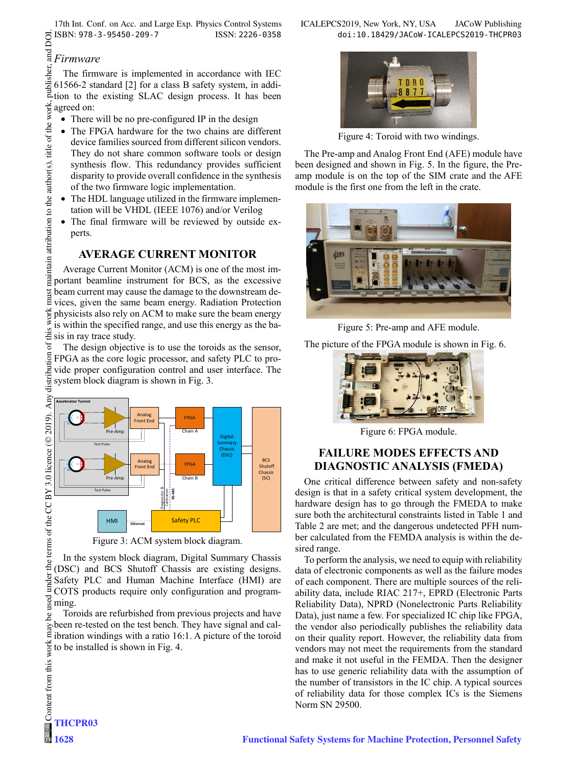17th Int. Conf. on Acc. and Large Exp. Physics Control Systems ICALEPCS2019, New York, NY, USA JACoW Publishing ISBN: 978-3-95450-209-7 ISSN: 2226-0358 doi:10.18429/JACoW-ICALEPCS2019-THCPR03

 $\frac{E}{E}$ *Firmware*<br> $\frac{E}{2}$  The firmv<br> $\frac{E}{2}$  61566-2 star<br>ation to the The firmware is implemented in accordance with IEC 61566-2 standard [2] for a class B safety system, in addition to the existing SLAC design process. It has been agreed on:

- There will be no pre-configured IP in the design
- The FPGA hardware for the two chains are different device families sourced from different silicon vendors. They do not share common software tools or design synthesis flow. This redundancy provides sufficient disparity to provide overall confidence in the synthesis of the two firmware logic implementation.
- The HDL language utilized in the firmware implementation will be VHDL (IEEE 1076) and/or Verilog
- The final firmware will be reviewed by outside experts.

## **AVERAGE CURRENT MONITOR**

Average Current Monitor (ACM) is one of the most important beamline instrument for BCS, as the excessive beam current may cause the damage to the downstream devices, given the same beam energy. Radiation Protection  $\frac{1}{2}$  physicists also rely on ACM to make sure the beam energy<br>  $\frac{1}{2}$  is within the specified range, and use this energy as the bais within the specified range, and use this energy as the ba- $\ddot{\ddot{\mathbf{\epsilon}}}$  sis in ray trace study.

The design objective is to use the toroids as the sensor, FPGA as the core logic processor, and safety PLC to provide proper configuration control and user interface. The system block diagram is shown in Fig. 3.



Figure 3: ACM system block diagram.

In the system block diagram, Digital Summary Chassis (DSC) and BCS Shutoff Chassis are existing designs. Safety PLC and Human Machine Interface (HMI) are COTS products require only configuration and program- $\frac{1}{2}$  ming.

Toroids are refurbished from previous projects and have been re-tested on the test bench. They have signal and calibration windings with a ratio 16:1. A picture of the toroid to be installed is shown in Fig. 4.



Figure 4: Toroid with two windings.

The Pre-amp and Analog Front End (AFE) module have been designed and shown in Fig. 5. In the figure, the Preamp module is on the top of the SIM crate and the AFE module is the first one from the left in the crate.



Figure 5: Pre-amp and AFE module.

The picture of the FPGA module is shown in Fig. 6.



Figure 6: FPGA module.

## **FAILURE MODES EFFECTS AND DIAGNOSTIC ANALYSIS (FMEDA)**

One critical difference between safety and non-safety design is that in a safety critical system development, the hardware design has to go through the FMEDA to make sure both the architectural constraints listed in Table 1 and Table 2 are met; and the dangerous undetected PFH number calculated from the FEMDA analysis is within the desired range.

To perform the analysis, we need to equip with reliability data of electronic components as well as the failure modes of each component. There are multiple sources of the reliability data, include RIAC 217+, EPRD (Electronic Parts Reliability Data), NPRD (Nonelectronic Parts Reliability Data), just name a few. For specialized IC chip like FPGA, the vendor also periodically publishes the reliability data on their quality report. However, the reliability data from vendors may not meet the requirements from the standard and make it not useful in the FEMDA. Then the designer has to use generic reliability data with the assumption of the number of transistors in the IC chip. A typical sources of reliability data for those complex ICs is the Siemens Norm SN 29500.